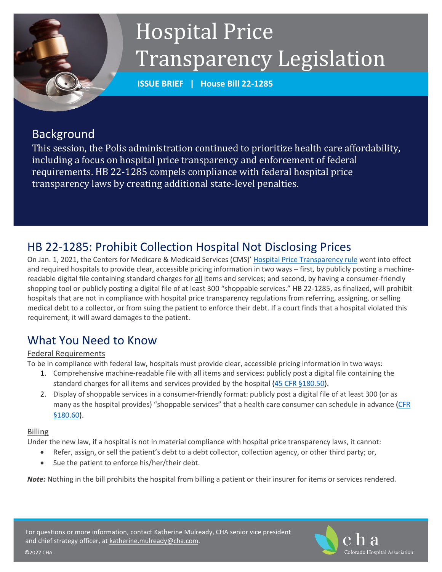# Hospital Price Transparency Legislation

**ISSUE BRIEF | House Bill 22-1285**

## Background

This session, the Polis administration continued to prioritize health care affordability, including a focus on hospital price transparency and enforcement of federal requirements. HB 22-1285 compels compliance with federal hospital price transparency laws by creating additional state-level penalties.

# HB 22-1285: Prohibit Collection Hospital Not Disclosing Prices

On Jan. 1, 2021, the Centers for Medicare & Medicaid Services (CMS)' [Hospital Price Transparency rule](https://www.federalregister.gov/documents/2019/11/27/2019-24931/medicare-and-medicaid-programs-cy-2020-hospital-outpatient-pps-policy-changes-and-payment-rates-and) went into effect and required hospitals to provide clear, accessible pricing information in two ways – first, by publicly posting a machinereadable digital file containing standard charges for all items and services; and second, by having a consumer-friendly shopping tool or publicly posting a digital file of at least 300 "shoppable services." HB 22-1285, as finalized, will prohibit hospitals that are not in compliance with hospital price transparency regulations from referring, assigning, or selling medical debt to a collector, or from suing the patient to enforce their debt. If a court finds that a hospital violated this requirement, it will award damages to the patient.

# What You Need to Know

#### Federal Requirements

To be in compliance with federal law, hospitals must provide clear, accessible pricing information in two ways:

- 1. Comprehensive machine-readable file with all items and services**:** publicly post a digital file containing the standard charges for all items and services provided by the hospital (45 CFR [§180.50\)](https://www.federalregister.gov/d/2019-24931/p-1010).
- 2. Display of shoppable services in a consumer-friendly format: publicly post a digital file of at least 300 (or as many as the hospital provides) "shoppable services" that a health care consumer can schedule in advance (CFR [§180.60\)](https://cohosp.sharepoint.com/policy/LEGISLATIVE/2022/Hb22-1285%20Hospital%20Price%20Transparency/3.9.22%20Federal%20Hospital%20Price%20Transparency%20Background.docx).

#### Billing

©2022 CHA

Under the new law, if a hospital is not in material compliance with hospital price transparency laws, it cannot:

- Refer, assign, or sell the patient's debt to a debt collector, collection agency, or other third party; or,
- Sue the patient to enforce his/her/their debt.

*Note:* Nothing in the bill prohibits the hospital from billing a patient or their insurer for items or services rendered.